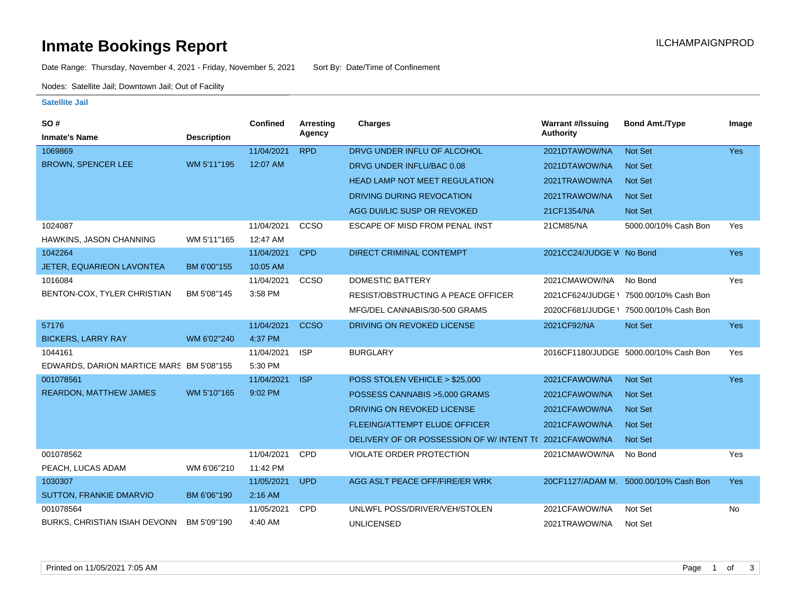### **Inmate Bookings Report International Contract Contract Contract Contract Contract Contract Contract Contract Contract Contract Contract Contract Contract Contract Contract Contract Contract Contract Contract Contract Co**

Date Range: Thursday, November 4, 2021 - Friday, November 5, 2021 Sort By: Date/Time of Confinement

Nodes: Satellite Jail; Downtown Jail; Out of Facility

#### **Satellite Jail**

| <b>SO#</b>                               |                    | <b>Confined</b> | <b>Arresting</b> | <b>Charges</b>                           | <b>Warrant #/Issuing</b> | <b>Bond Amt./Type</b>                  | Image      |
|------------------------------------------|--------------------|-----------------|------------------|------------------------------------------|--------------------------|----------------------------------------|------------|
| <b>Inmate's Name</b>                     | <b>Description</b> |                 | Agency           |                                          | <b>Authority</b>         |                                        |            |
| 1069869                                  |                    | 11/04/2021      | <b>RPD</b>       | DRVG UNDER INFLU OF ALCOHOL              | 2021DTAWOW/NA            | Not Set                                | Yes        |
| <b>BROWN, SPENCER LEE</b>                | WM 5'11"195        | 12:07 AM        |                  | DRVG UNDER INFLU/BAC 0.08                | 2021DTAWOW/NA            | Not Set                                |            |
|                                          |                    |                 |                  | <b>HEAD LAMP NOT MEET REGULATION</b>     | 2021TRAWOW/NA            | <b>Not Set</b>                         |            |
|                                          |                    |                 |                  | DRIVING DURING REVOCATION                | 2021TRAWOW/NA            | <b>Not Set</b>                         |            |
|                                          |                    |                 |                  | AGG DUI/LIC SUSP OR REVOKED              | 21CF1354/NA              | Not Set                                |            |
| 1024087                                  |                    | 11/04/2021      | <b>CCSO</b>      | ESCAPE OF MISD FROM PENAL INST           | 21CM85/NA                | 5000.00/10% Cash Bon                   | Yes        |
| HAWKINS, JASON CHANNING                  | WM 5'11"165        | 12:47 AM        |                  |                                          |                          |                                        |            |
| 1042264                                  |                    | 11/04/2021      | <b>CPD</b>       | DIRECT CRIMINAL CONTEMPT                 | 2021CC24/JUDGE V No Bond |                                        | Yes        |
| <b>JETER, EQUARIEON LAVONTEA</b>         | BM 6'00"155        | 10:05 AM        |                  |                                          |                          |                                        |            |
| 1016084                                  |                    | 11/04/2021      | CCSO             | <b>DOMESTIC BATTERY</b>                  | 2021CMAWOW/NA            | No Bond                                | Yes        |
| BENTON-COX, TYLER CHRISTIAN              | BM 5'08"145        | 3:58 PM         |                  | RESIST/OBSTRUCTING A PEACE OFFICER       | 2021CF624/JUDGE \        | 7500.00/10% Cash Bon                   |            |
|                                          |                    |                 |                  | MFG/DEL CANNABIS/30-500 GRAMS            |                          | 2020CF681/JUDGE \ 7500.00/10% Cash Bon |            |
| 57176                                    |                    | 11/04/2021      | <b>CCSO</b>      | DRIVING ON REVOKED LICENSE               | 2021CF92/NA              | Not Set                                | <b>Yes</b> |
| <b>BICKERS, LARRY RAY</b>                | WM 6'02"240        | 4:37 PM         |                  |                                          |                          |                                        |            |
| 1044161                                  |                    | 11/04/2021      | <b>ISP</b>       | <b>BURGLARY</b>                          |                          | 2016CF1180/JUDGE 5000.00/10% Cash Bon  | Yes        |
| EDWARDS, DARION MARTICE MARS BM 5'08"155 |                    | 5:30 PM         |                  |                                          |                          |                                        |            |
| 001078561                                |                    | 11/04/2021      | <b>ISP</b>       | POSS STOLEN VEHICLE > \$25,000           | 2021CFAWOW/NA            | Not Set                                | Yes        |
| <b>REARDON, MATTHEW JAMES</b>            | WM 5'10"165        | 9:02 PM         |                  | POSSESS CANNABIS > 5,000 GRAMS           | 2021CFAWOW/NA            | <b>Not Set</b>                         |            |
|                                          |                    |                 |                  | DRIVING ON REVOKED LICENSE               | 2021CFAWOW/NA            | <b>Not Set</b>                         |            |
|                                          |                    |                 |                  | FLEEING/ATTEMPT ELUDE OFFICER            | 2021CFAWOW/NA            | Not Set                                |            |
|                                          |                    |                 |                  | DELIVERY OF OR POSSESSION OF W/INTENT TO | 2021CFAWOW/NA            | <b>Not Set</b>                         |            |
| 001078562                                |                    | 11/04/2021      | CPD              | <b>VIOLATE ORDER PROTECTION</b>          | 2021CMAWOW/NA            | No Bond                                | Yes        |
| PEACH, LUCAS ADAM                        | WM 6'06"210        | 11:42 PM        |                  |                                          |                          |                                        |            |
| 1030307                                  |                    | 11/05/2021      | <b>UPD</b>       | AGG ASLT PEACE OFF/FIRE/ER WRK           |                          | 20CF1127/ADAM M. 5000.00/10% Cash Bon  | Yes:       |
| SUTTON, FRANKIE DMARVIO                  | BM 6'06"190        | $2:16$ AM       |                  |                                          |                          |                                        |            |
| 001078564                                |                    | 11/05/2021      | CPD              | UNLWFL POSS/DRIVER/VEH/STOLEN            | 2021CFAWOW/NA            | Not Set                                | No         |
| BURKS, CHRISTIAN ISIAH DEVONN            | BM 5'09"190        | 4:40 AM         |                  | <b>UNLICENSED</b>                        | 2021TRAWOW/NA            | Not Set                                |            |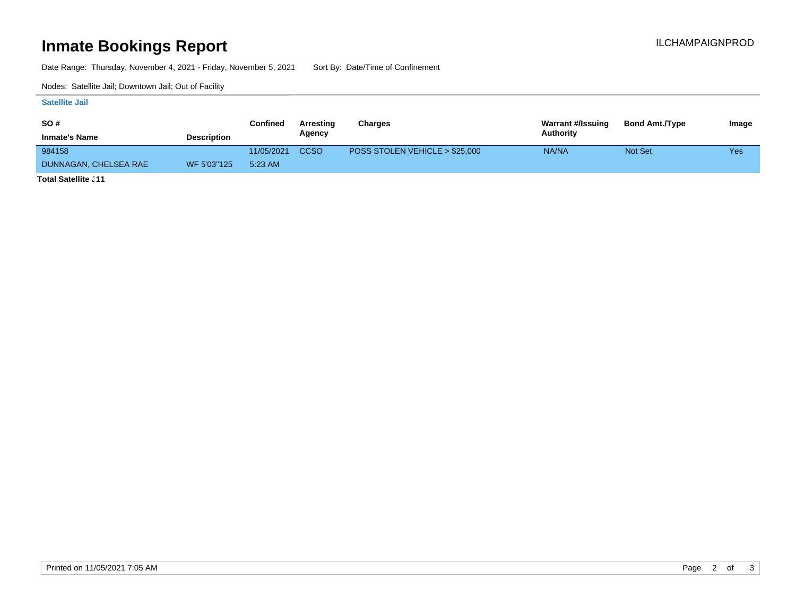# **Inmate Bookings Report Installation Control Control Control Control Control Control Control Control Control Control Control Control Control Control Control Control Control Control Control Control Control Control Control**

Date Range: Thursday, November 4, 2021 - Friday, November 5, 2021 Sort By: Date/Time of Confinement

Nodes: Satellite Jail; Downtown Jail; Out of Facility

#### **Satellite Jail**

| <b>SO#</b>                                                                                                             |                    | Confined   | Arresting | Charges                        | Warrant #/Issuing | <b>Bond Amt./Type</b> | Image |
|------------------------------------------------------------------------------------------------------------------------|--------------------|------------|-----------|--------------------------------|-------------------|-----------------------|-------|
| <b>Inmate's Name</b>                                                                                                   | <b>Description</b> |            | Agency    |                                | Authority         |                       |       |
| 984158                                                                                                                 |                    | 11/05/2021 | CCSO      | POSS STOLEN VEHICLE > \$25,000 | NA/NA             | Not Set               | Yes   |
| DUNNAGAN, CHELSEA RAE                                                                                                  | WF 5'03"125        | 5:23 AM    |           |                                |                   |                       |       |
| <b>The Contract Contract Contract Contract Contract Contract Contract Contract Contract Contract Contract Contract</b> |                    |            |           |                                |                   |                       |       |

**Total Satellite Jail: 11**